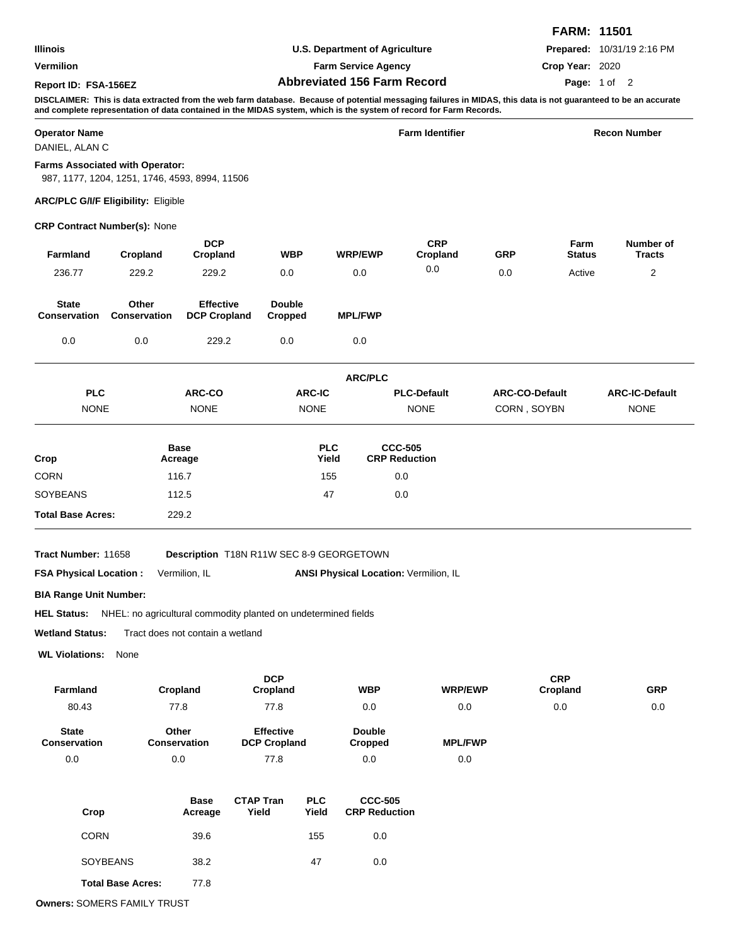|                      |                                    | <b>FARM: 11501</b>                |
|----------------------|------------------------------------|-----------------------------------|
| Illinois             | U.S. Department of Agriculture     | <b>Prepared: 10/31/19 2:16 PM</b> |
| <b>Vermilion</b>     | <b>Farm Service Agency</b>         | Crop Year: 2020                   |
| Report ID: FSA-156EZ | <b>Abbreviated 156 Farm Record</b> | Page: 1 of 2                      |

**DISCLAIMER: This is data extracted from the web farm database. Because of potential messaging failures in MIDAS, this data is not guaranteed to be an accurate and complete representation of data contained in the MIDAS system, which is the system of record for Farm Records.**

| <b>Operator Name</b><br>DANIEL, ALAN C |                                                                                          |                                         |                           | <b>Farm Identifier</b>          |                                          |                                       |                       |                       | <b>Recon Number</b>        |  |  |
|----------------------------------------|------------------------------------------------------------------------------------------|-----------------------------------------|---------------------------|---------------------------------|------------------------------------------|---------------------------------------|-----------------------|-----------------------|----------------------------|--|--|
|                                        | <b>Farms Associated with Operator:</b><br>987, 1177, 1204, 1251, 1746, 4593, 8994, 11506 |                                         |                           |                                 |                                          |                                       |                       |                       |                            |  |  |
|                                        | <b>ARC/PLC G/I/F Eligibility: Eligible</b>                                               |                                         |                           |                                 |                                          |                                       |                       |                       |                            |  |  |
|                                        | <b>CRP Contract Number(s): None</b>                                                      |                                         |                           |                                 |                                          |                                       |                       |                       |                            |  |  |
| Farmland                               | Cropland                                                                                 | <b>DCP</b><br>Cropland                  |                           | <b>WBP</b>                      | <b>WRP/EWP</b>                           | <b>CRP</b><br>Cropland                | GRP                   | Farm<br><b>Status</b> | Number of<br><b>Tracts</b> |  |  |
| 236.77                                 | 229.2                                                                                    | 229.2                                   |                           | 0.0                             | 0.0                                      | 0.0                                   | 0.0                   | Active                | 2                          |  |  |
| <b>State</b><br>Conservation           | Other<br><b>Conservation</b>                                                             | <b>Effective</b><br><b>DCP Cropland</b> |                           | <b>Double</b><br><b>Cropped</b> | <b>MPL/FWP</b>                           |                                       |                       |                       |                            |  |  |
| 0.0                                    | 0.0                                                                                      | 229.2                                   |                           | 0.0                             | 0.0                                      |                                       |                       |                       |                            |  |  |
|                                        |                                                                                          |                                         |                           |                                 | <b>ARC/PLC</b>                           |                                       |                       |                       |                            |  |  |
| <b>PLC</b>                             |                                                                                          | ARC-CO                                  |                           | <b>ARC-IC</b>                   |                                          | <b>PLC-Default</b>                    | <b>ARC-CO-Default</b> |                       | <b>ARC-IC-Default</b>      |  |  |
| <b>NONE</b>                            |                                                                                          | <b>NONE</b>                             |                           | <b>NONE</b>                     |                                          | <b>NONE</b>                           | CORN, SOYBN           |                       | <b>NONE</b>                |  |  |
|                                        |                                                                                          | <b>Base</b>                             |                           | <b>PLC</b>                      |                                          | <b>CCC-505</b>                        |                       |                       |                            |  |  |
| Crop                                   |                                                                                          | Acreage                                 |                           | Yield                           |                                          | <b>CRP Reduction</b>                  |                       |                       |                            |  |  |
| <b>CORN</b>                            |                                                                                          | 116.7                                   |                           | 155                             |                                          | 0.0                                   |                       |                       |                            |  |  |
| <b>SOYBEANS</b>                        |                                                                                          | 112.5                                   |                           | 47                              |                                          | 0.0                                   |                       |                       |                            |  |  |
| <b>Total Base Acres:</b>               |                                                                                          | 229.2                                   |                           |                                 |                                          |                                       |                       |                       |                            |  |  |
| Tract Number: 11658                    |                                                                                          |                                         |                           |                                 | Description T18N R11W SEC 8-9 GEORGETOWN |                                       |                       |                       |                            |  |  |
| <b>FSA Physical Location:</b>          |                                                                                          | Vermilion, IL                           |                           |                                 |                                          | ANSI Physical Location: Vermilion, IL |                       |                       |                            |  |  |
| <b>BIA Range Unit Number:</b>          |                                                                                          |                                         |                           |                                 |                                          |                                       |                       |                       |                            |  |  |
|                                        | HEL Status: NHEL: no agricultural commodity planted on undetermined fields               |                                         |                           |                                 |                                          |                                       |                       |                       |                            |  |  |
| <b>Wetland Status:</b>                 |                                                                                          | Tract does not contain a wetland        |                           |                                 |                                          |                                       |                       |                       |                            |  |  |
| <b>WL Violations:</b>                  | None                                                                                     |                                         |                           |                                 |                                          |                                       |                       |                       |                            |  |  |
|                                        |                                                                                          |                                         | <b>DCP</b>                |                                 |                                          |                                       |                       | <b>CRP</b>            |                            |  |  |
| Farmland<br>80.43                      |                                                                                          | Cropland<br>77.8                        | Cropland<br>77.8          |                                 | <b>WBP</b><br>0.0                        | <b>WRP/EWP</b><br>$0.0\,$             |                       | Cropland<br>$0.0\,$   | <b>GRP</b><br>0.0          |  |  |
| <b>State</b>                           |                                                                                          | Other                                   | <b>Effective</b>          |                                 | <b>Double</b>                            |                                       |                       |                       |                            |  |  |
| Conservation                           |                                                                                          | Conservation                            | <b>DCP Cropland</b>       |                                 | Cropped                                  | <b>MPL/FWP</b>                        |                       |                       |                            |  |  |
| 0.0                                    |                                                                                          | 0.0                                     | 77.8                      |                                 | 0.0                                      | $0.0\,$                               |                       |                       |                            |  |  |
| Crop                                   |                                                                                          | <b>Base</b><br>Acreage                  | <b>CTAP Tran</b><br>Yield | <b>PLC</b><br>Yield             | <b>CCC-505</b><br><b>CRP Reduction</b>   |                                       |                       |                       |                            |  |  |
| <b>CORN</b>                            |                                                                                          | 39.6                                    |                           | 155                             | 0.0                                      |                                       |                       |                       |                            |  |  |
|                                        | SOYBEANS                                                                                 | 38.2                                    |                           | 47                              | 0.0                                      |                                       |                       |                       |                            |  |  |
|                                        | <b>Total Base Acres:</b>                                                                 | 77.8                                    |                           |                                 |                                          |                                       |                       |                       |                            |  |  |

**Owners:** SOMERS FAMILY TRUST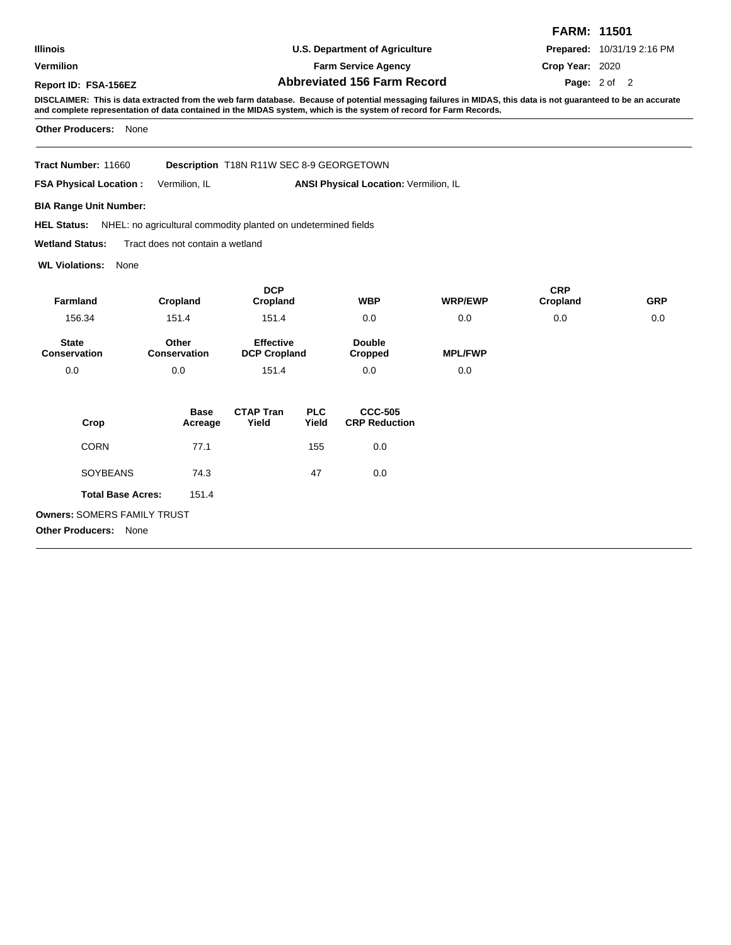|                      |                                    | <b>FARM: 11501</b>                |
|----------------------|------------------------------------|-----------------------------------|
| Illinois             | U.S. Department of Agriculture     | <b>Prepared: 10/31/19 2:16 PM</b> |
| Vermilion            | <b>Farm Service Agency</b>         | Crop Year: 2020                   |
| Report ID: FSA-156EZ | <b>Abbreviated 156 Farm Record</b> | <b>Page:</b> $2 \text{ of } 2$    |

**DISCLAIMER: This is data extracted from the web farm database. Because of potential messaging failures in MIDAS, this data is not guaranteed to be an accurate and complete representation of data contained in the MIDAS system, which is the system of record for Farm Records.**

**Other Producers:** None

**Tract Number:** Description T18N R11W SEC 8-9 GEORGETOWN

**FSA Physical Location :** Vermilion, IL ANSI Physical Location: Vermilion, IL

**BIA Range Unit Number:**

HEL Status: NHEL: no agricultural commodity planted on undetermined fields

**Wetland Status:** Tract does not contain a wetland

**WL Violations:** None

| <b>Farmland</b>              |                              | <b>DCP</b>                              |                     | <b>WBP</b>                             | <b>WRP/EWP</b> | <b>CRP</b> | <b>GRP</b> |
|------------------------------|------------------------------|-----------------------------------------|---------------------|----------------------------------------|----------------|------------|------------|
|                              | Cropland                     | Cropland                                |                     |                                        |                | Cropland   |            |
| 156.34                       | 151.4                        | 151.4                                   |                     | 0.0                                    | 0.0            | 0.0        | 0.0        |
| <b>State</b><br>Conservation | Other<br><b>Conservation</b> | <b>Effective</b><br><b>DCP Cropland</b> |                     | <b>Double</b><br>Cropped               | <b>MPL/FWP</b> |            |            |
| 0.0                          | 0.0                          | 151.4                                   |                     | 0.0                                    | 0.0            |            |            |
| Crop                         | <b>Base</b><br>Acreage       | <b>CTAP Tran</b><br>Yield               | <b>PLC</b><br>Yield | <b>CCC-505</b><br><b>CRP Reduction</b> |                |            |            |
| <b>CORN</b>                  | 77.1                         |                                         | 155                 | 0.0                                    |                |            |            |
| <b>SOYBEANS</b>              | 74.3                         |                                         | 47                  | 0.0                                    |                |            |            |
| <b>Total Base Acres:</b>     | 151.4                        |                                         |                     |                                        |                |            |            |

**Owners:** SOMERS FAMILY TRUST **Other Producers:** None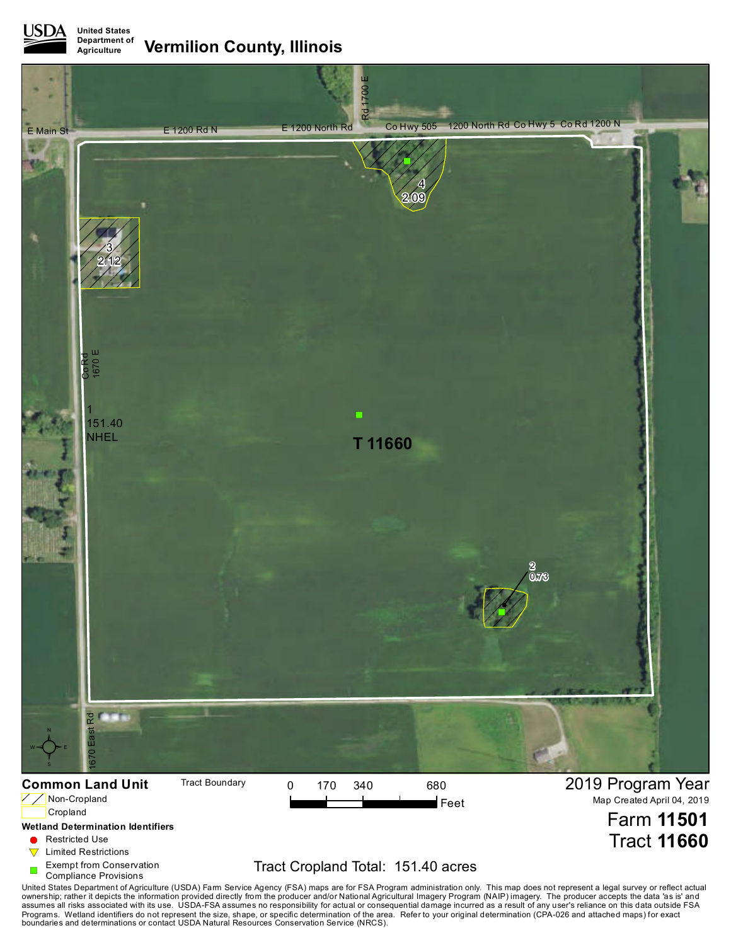**United States Department of Agriculture Vermilion County, Illinois**



## **Wetland Determination Identifiers**

- **C** Restricted Use
- $\nabla$  Limited Restrictions
- Exempt from Conservation
- Compliance Provisions

## Tract Cropland Total: 151.40 acres

Tract **11660**

United States Department of Agriculture (USDA) Farm Service Agency (FSA) maps are for FSA Program administration only. This map does not represent a legal survey or reflect actual<br>ownership; rather it depicts the informati boundaries and determinations or contact USDA Natural Resources Conservation Service (NRCS).